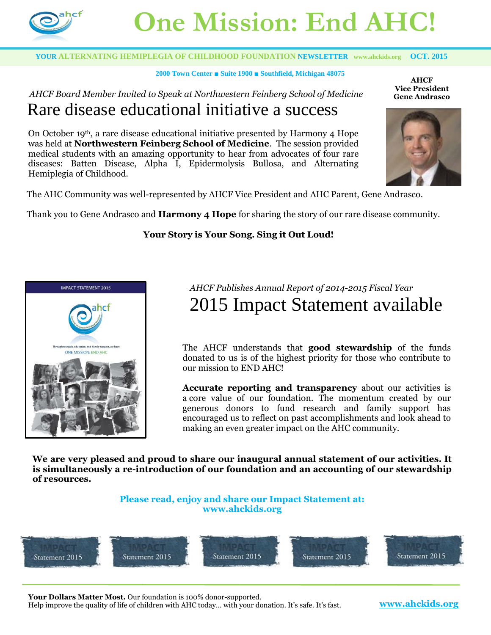

# **One Mission: End AHC!**

#### **YOUR ALTERNATING HEMIPLEGIA OF CHILDHOOD FOUNDATION NEWSLETTER [www.ahckids.org](http://www.ahckids.org/) OCT. 2015**

#### **2000 Town Center ■ Suite 1900 ■ Southfield, Michigan 48075**

#### *AHCF Board Member Invited to Speak at Northwestern Feinberg School of Medicine*  Rare disease educational initiative a success

On October 19<sup>th</sup>, a rare disease educational initiative presented by Harmony 4 Hope was held at **Northwestern Feinberg School of Medicine**. The session provided medical students with an amazing opportunity to hear from advocates of four rare diseases: Batten Disease, Alpha I, Epidermolysis Bullosa, and Alternating Hemiplegia of Childhood.

**AHCF Vice President Gene Andrasco**



The AHC Community was well-represented by AHCF Vice President and AHC Parent, Gene Andrasco.

Thank you to Gene Andrasco and **Harmony 4 Hope** for sharing the story of our rare disease community.

#### **Your Story is Your Song. Sing it Out Loud!**



### *AHCF Publishes Annual Report of 2014-2015 Fiscal Year* 2015 Impact Statement available

The AHCF understands that **good stewardship** of the funds donated to us is of the highest priority for those who contribute to our mission to END AHC!

**Accurate reporting and transparency** about our activities is a core value of our foundation. The momentum created by our generous donors to fund research and family support has encouraged us to reflect on past accomplishments and look ahead to making an even greater impact on the AHC community.

**We are very pleased and proud to share our inaugural annual statement of our activities. It is simultaneously a re-introduction of our foundation and an accounting of our stewardship of resources.**

#### **Please read, enjoy and share our [Impact Statement](http://r20.rs6.net/tn.jsp?f=001Ii_nuUcXmOqbRYEgXG-wVShHFUcUVn_-N_jDCRamOx6OoQndSiJRXOZ2TLzzpguYc_sZ-0jcyg0ZXXmvsNp7AOI8KP6a14-8a_lCt5wTD7qg8hLnjrFrwU7u779HcDXP80qg6yJYnaxNrj0BG5_t6KRwxbFcm8qHwejiDvflMntDS0GVGUjj4ymuBFX4CWIbgYMwh_Pr1I0005aR7S1o_vG09e6sUMWJv4YJqBd9DjpVfbASLz1epRcY7dFR1pBw&c=9kUEthAcLJyUEnyKpUbXnD_Ar8uGhdS2My0fU2TQpsfncc3SJkojKA==&ch=rt6m36K07sjaQcOuraj2_C06ot1HQjXmMeoapkOU-2r1OjbIJLTSCQ==) at: www.ahckids.org**



**Your Dollars Matter Most.** Our foundation is 100% donor-supported.

Help improve the quality of life of children with AHC today… with your donation. It's safe. It's fast. **[www.ahckids.org](http://www.ahckids.org/)**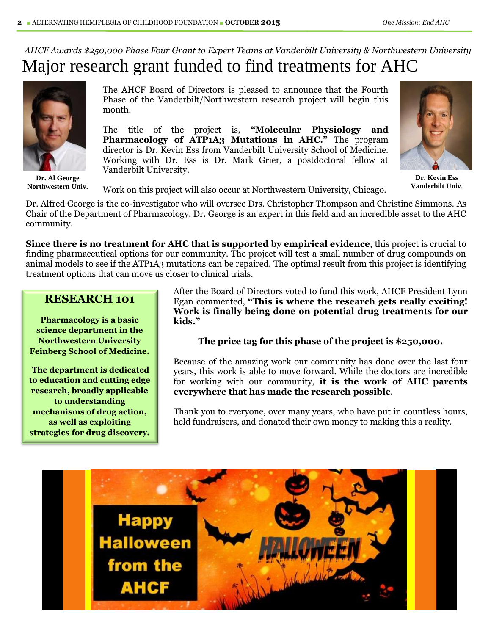### *AHCF Awards \$250,000 Phase Four Grant to Expert Teams at Vanderbilt University & Northwestern University*  Major research grant funded to find treatments for AHC



**Dr. Al George Northwestern Univ.**

The AHCF Board of Directors is pleased to announce that the Fourth Phase of the Vanderbilt/Northwestern research project will begin this month.

The title of the project is, **"Molecular Physiology and Pharmacology of ATP1A3 Mutations in AHC."** The program director is Dr. Kevin Ess from Vanderbilt University School of Medicine. Working with Dr. Ess is Dr. Mark Grier, a postdoctoral fellow at Vanderbilt University.



**Dr. Kevin Ess Vanderbilt Univ.**

Work on this project will also occur at Northwestern University, Chicago.

Dr. Alfred George is the co-investigator who will oversee Drs. Christopher Thompson and Christine Simmons. As Chair of the Department of Pharmacology, Dr. George is an expert in this field and an incredible asset to the AHC community.

**Since there is no treatment for AHC that is supported by empirical evidence**, this project is crucial to finding pharmaceutical options for our community. The project will test a small number of drug compounds on animal models to see if the ATP1A3 mutations can be repaired. The optimal result from this project is identifying treatment options that can move us closer to clinical trials.

#### **RESEARCH 101**

**Pharmacology is a basic science department in the Northwestern University Feinberg School of Medicine.**

**The department is dedicated to education and cutting edge research, broadly applicable to understanding mechanisms of drug action, as well as exploiting strategies for drug discovery.**

After the Board of Directors voted to fund this work, AHCF President Lynn Egan commented, **"This is where the research gets really exciting! Work is finally being done on potential drug treatments for our kids."**

**The price tag for this phase of the project is \$250,000.**

Because of the amazing work our community has done over the last four years, this work is able to move forward. While the doctors are incredible for working with our community, **it is the work of AHC parents everywhere that has made the research possible**.

Thank you to everyone, over many years, who have put in countless hours, held fundraisers, and donated their own money to making this a reality.

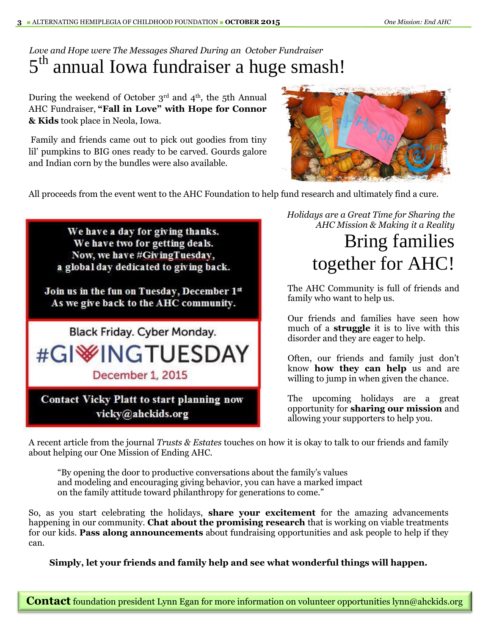### *Love and Hope were The Messages Shared During an October Fundraiser*  5<sup>th</sup> annual Iowa fundraiser a huge smash!

During the weekend of October  $3<sup>rd</sup>$  and  $4<sup>th</sup>$ , the 5th Annual AHC Fundraiser, **"Fall in Love" with Hope for Connor & Kids** took place in Neola, Iowa.

Family and friends came out to pick out goodies from tiny lil' pumpkins to BIG ones ready to be carved. Gourds galore and Indian corn by the bundles were also available.



All proceeds from the event went to the AHC Foundation to help fund research and ultimately find a cure.

We have a day for giving thanks. We have two for getting deals. Now, we have #GivingTuesday, a global day dedicated to giving back.

Join us in the fun on Tuesday, December 1st As we give back to the AHC community.

Black Friday. Cyber Monday. #GI<sup>W</sup>INGTUESDAY December 1, 2015

**Contact Vicky Platt to start planning now** vicky@ahckids.org

*Holidays are a Great Time for Sharing the AHC Mission & Making it a Reality*

# Bring families together for AHC!

The AHC Community is full of friends and family who want to help us.

Our friends and families have seen how much of a **struggle** it is to live with this disorder and they are eager to help.

Often, our friends and family just don't know **how they can help** us and are willing to jump in when given the chance.

The upcoming holidays are a great opportunity for **sharing our mission** and allowing your supporters to help you.

A recent article from the journal *Trusts & Estates* touches on how it is okay to talk to our friends and family about helping our One Mission of Ending AHC.

"By opening the door to productive conversations about the family's values and modeling and encouraging giving behavior, you can have a marked impact on the family attitude toward philanthropy for generations to come."

So, as you start celebrating the holidays, **share your excitement** for the amazing advancements happening in our community. **Chat about the promising research** that is working on viable treatments for our kids. **Pass along announcements** about fundraising opportunities and ask people to help if they can.

**Simply, let your friends and family help and see what wonderful things will happen.**

**Contact** foundation president Lynn Egan for more information on volunteer opportunities lynn@ahckids.org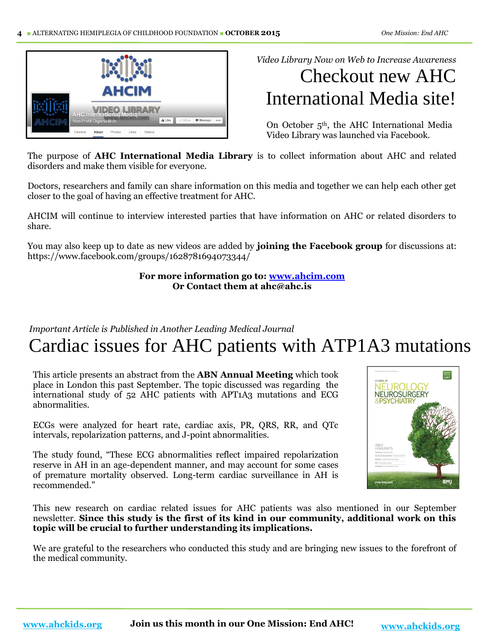

*Video Library Now on Web to Increase Awareness*

# Checkout new AHC International Media site!

On October  $5<sup>th</sup>$ , the AHC International Media Video Library was launched via Facebook.

The purpose of **AHC International Media Library** is to collect information about AHC and related disorders and make them visible for everyone.

Doctors, researchers and family can share information on this media and together we can help each other get closer to the goal of having an effective treatment for AHC.

AHCIM will continue to interview interested parties that have information on AHC or related disorders to share.

You may also keep up to date as new videos are added by **joining the Facebook group** for discussions at: https://www.facebook.com/groups/1628781694073344/

> **For more information go to: [www.ahcim.com](http://www.ahcim.com/) Or Contact them at ahc@ahc.is**

*Important Article is Published in Another Leading Medical Journal*

## Cardiac issues for AHC patients with ATP1A3 mutations

This article presents an abstract from the **ABN Annual Meeting** which took place in London this past September. The topic discussed was regarding the international study of 52 AHC patients with APT1A3 mutations and ECG abnormalities.

ECGs were analyzed for heart rate, cardiac axis, PR, QRS, RR, and QTc intervals, repolarization patterns, and J-point abnormalities.

The study found, "These ECG abnormalities reflect impaired repolarization reserve in AH in an age-dependent manner, and may account for some cases of premature mortality observed. Long-term cardiac surveillance in AH is recommended."



This new research on cardiac related issues for AHC patients was also mentioned in our September newsletter. **Since this study is the first of its kind in our community, additional work on this topic will be crucial to further understanding its implications.**

We are grateful to the researchers who conducted this study and are bringing new issues to the forefront of the medical community.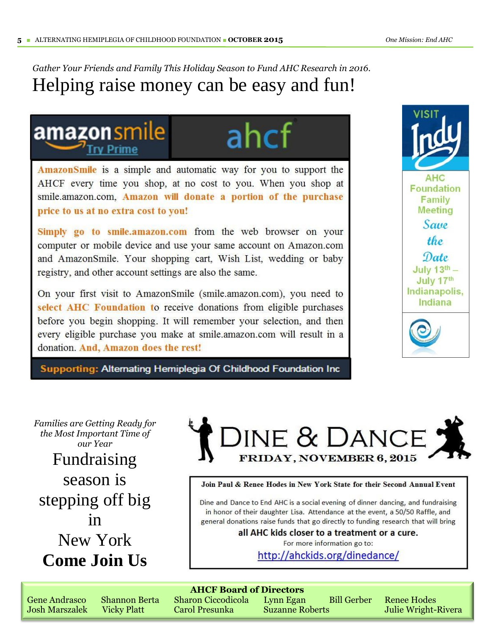### *Gather Your Friends and Family This Holiday Season to Fund AHC Research in 2016.* Helping raise money can be easy and fun!

### amazonsmile **Try Prime**

ahcf

AmazonSmile is a simple and automatic way for you to support the AHCF every time you shop, at no cost to you. When you shop at smile.amazon.com, Amazon will donate a portion of the purchase price to us at no extra cost to you!

Simply go to smile.amazon.com from the web browser on your computer or mobile device and use your same account on Amazon.com and AmazonSmile. Your shopping cart, Wish List, wedding or baby registry, and other account settings are also the same.

On your first visit to AmazonSmile (smile.amazon.com), you need to select AHC Foundation to receive donations from eligible purchases before you begin shopping. It will remember your selection, and then every eligible purchase you make at smile.amazon.com will result in a donation. And, Amazon does the rest!

Supporting: Alternating Hemiplegia Of Childhood Foundation Inc



*Families are Getting Ready for the Most Important Time of our Year*

Fundraising season is stepping off big in New York **Come Join Us**

DINE & DANCE **FRIDAY, NOVEMBER 6, 2015** 

Join Paul & Renee Hodes in New York State for their Second Annual Event

Dine and Dance to End AHC is a social evening of dinner dancing, and fundraising in honor of their daughter Lisa. Attendance at the event, a 50/50 Raffle, and general donations raise funds that go directly to funding research that will bring

all AHC kids closer to a treatment or a cure.

For more information go to:

http://ahckids.org/dinedance/

| <b>AHCF Board of Directors</b> |  |                                            |  |  |                                |
|--------------------------------|--|--------------------------------------------|--|--|--------------------------------|
| <b>Gene Andrasco</b>           |  | Shannon Berta Sharon Ciccodicola Lynn Egan |  |  | <b>Bill Gerber</b> Renee Hodes |

Josh Marszalek Vicky Platt Carol Presunka Suzanne Roberts Julie Wright-Rivera